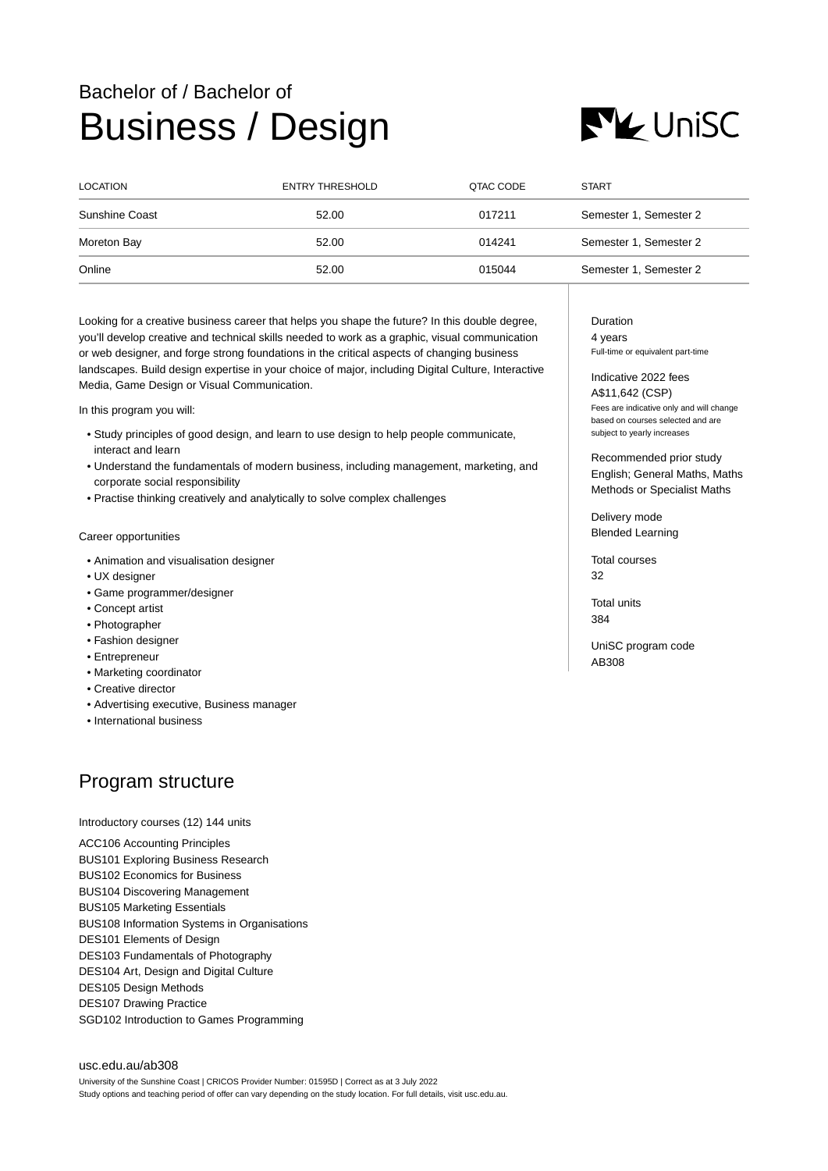## Bachelor of / Bachelor of Business / Design



| <b>LOCATION</b> | <b>ENTRY THRESHOLD</b> | QTAC CODE | <b>START</b>           |
|-----------------|------------------------|-----------|------------------------|
| Sunshine Coast  | 52.00                  | 017211    | Semester 1, Semester 2 |
| Moreton Bay     | 52.00                  | 014241    | Semester 1, Semester 2 |
| Online          | 52.00                  | 015044    | Semester 1, Semester 2 |

Looking for a creative business career that helps you shape the future? In this double degree, you'll develop creative and technical skills needed to work as a graphic, visual communication or web designer, and forge strong foundations in the critical aspects of changing business landscapes. Build design expertise in your choice of major, including Digital Culture, Interactive Media, Game Design or Visual Communication.

In this program you will:

- Study principles of good design, and learn to use design to help people communicate, interact and learn
- Understand the fundamentals of modern business, including management, marketing, and corporate social responsibility
- Practise thinking creatively and analytically to solve complex challenges

## Career opportunities

- Animation and visualisation designer
- UX designer
- Game programmer/designer
- Concept artist
- Photographer
- Fashion designer
- Entrepreneur
- Marketing coordinator
- Creative director
- Advertising executive, Business manager
- International business

## Program structure

Introductory courses (12) 144 units

ACC106 Accounting Principles BUS101 Exploring Business Research BUS102 Economics for Business BUS104 Discovering Management BUS105 Marketing Essentials BUS108 Information Systems in Organisations DES101 Elements of Design DES103 Fundamentals of Photography DES104 Art, Design and Digital Culture DES105 Design Methods DES107 Drawing Practice SGD102 Introduction to Games Programming

[usc.edu.au/ab308](https://www.usc.edu.au/ab308) University of the Sunshine Coast | CRICOS Provider Number: 01595D | Correct as at 3 July 2022 Study options and teaching period of offer can vary depending on the study location. For full details, visit usc.edu.au. Duration 4 years Full-time or equivalent part-time

Indicative 2022 fees A\$11,642 (CSP) Fees are indicative only and will change based on courses selected and are

Recommended prior study English; General Maths, Maths Methods or Specialist Maths

Delivery mode Blended Learning

subject to yearly increases

Total courses  $32$ 

Total units 384

UniSC program code AB308